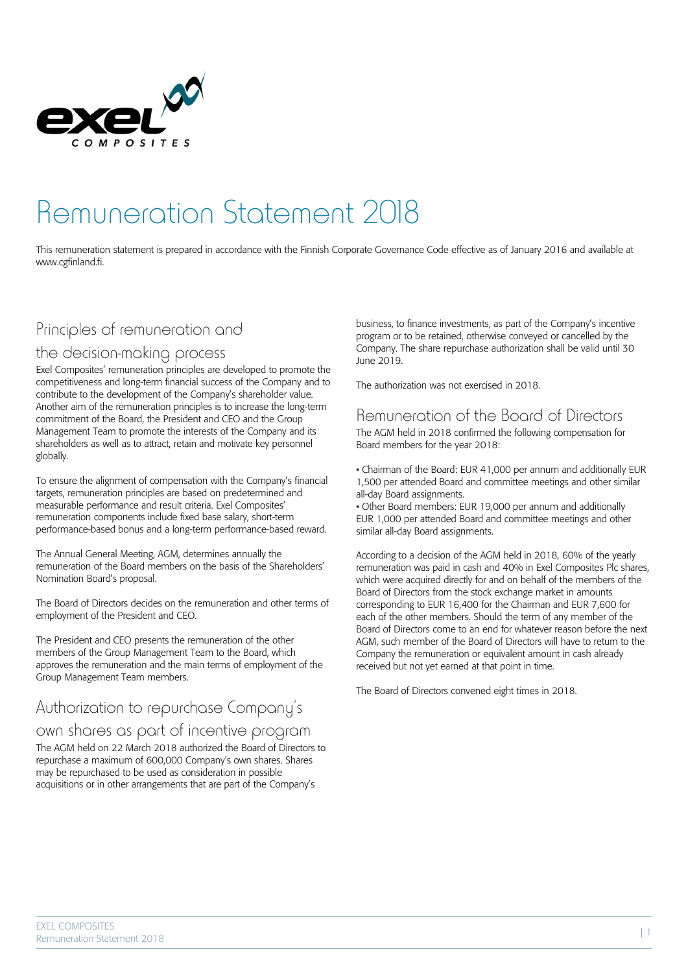

# Remuneration Statement 2018

This remuneration statement is prepared in accordance with the Finnish Corporate Governance Code effective as of January 2016 and available at www.cgfinland.fi.

### Principles of remuneration and

### the decision-making process

Exel Composites' remuneration principles are developed to promote the competitiveness and long-term financial success of the Company and to contribute to the development of the Company's shareholder value. Another aim of the remuneration principles is to increase the long-term commitment of the Board, the President and CEO and the Group Management Team to promote the interests of the Company and its shareholders as well as to attract, retain and motivate key personnel globally.

To ensure the alignment of compensation with the Company's financial targets, remuneration principles are based on predetermined and measurable performance and result criteria. Exel Composites' remuneration components include fixed base salary, short-term performance-based bonus and a long-term performance-based reward.

The Annual General Meeting, AGM, determines annually the remuneration of the Board members on the basis of the Shareholders' Nomination Board's proposal.

The Board of Directors decides on the remuneration and other terms of employment of the President and CEO.

The President and CEO presents the remuneration of the other members of the Group Management Team to the Board, which approves the remuneration and the main terms of employment of the Group Management Team members.

### Authorization to repurchase Company's

### own shares as part of incentive program

The AGM held on 22 March 2018 authorized the Board of Directors to repurchase a maximum of 600,000 Company's own shares. Shares may be repurchased to be used as consideration in possible acquisitions or in other arrangements that are part of the Company's

business, to finance investments, as part of the Company's incentive program or to be retained, otherwise conveyed or cancelled by the Company. The share repurchase authorization shall be valid until 30 June 2019.

The authorization was not exercised in 2018.

### Remuneration of the Board of Directors

The AGM held in 2018 confirmed the following compensation for Board members for the year 2018:

• Chairman of the Board: EUR 41,000 per annum and additionally EUR 1,500 per attended Board and committee meetings and other similar all-day Board assignments.

• Other Board members: EUR 19,000 per annum and additionally EUR 1,000 per attended Board and committee meetings and other similar all-day Board assignments.

According to a decision of the AGM held in 2018, 60% of the yearly remuneration was paid in cash and 40% in Exel Composites Plc shares, which were acquired directly for and on behalf of the members of the Board of Directors from the stock exchange market in amounts corresponding to EUR 16,400 for the Chairman and EUR 7,600 for each of the other members. Should the term of any member of the Board of Directors come to an end for whatever reason before the next AGM, such member of the Board of Directors will have to return to the Company the remuneration or equivalent amount in cash already received but not yet earned at that point in time.

The Board of Directors convened eight times in 2018.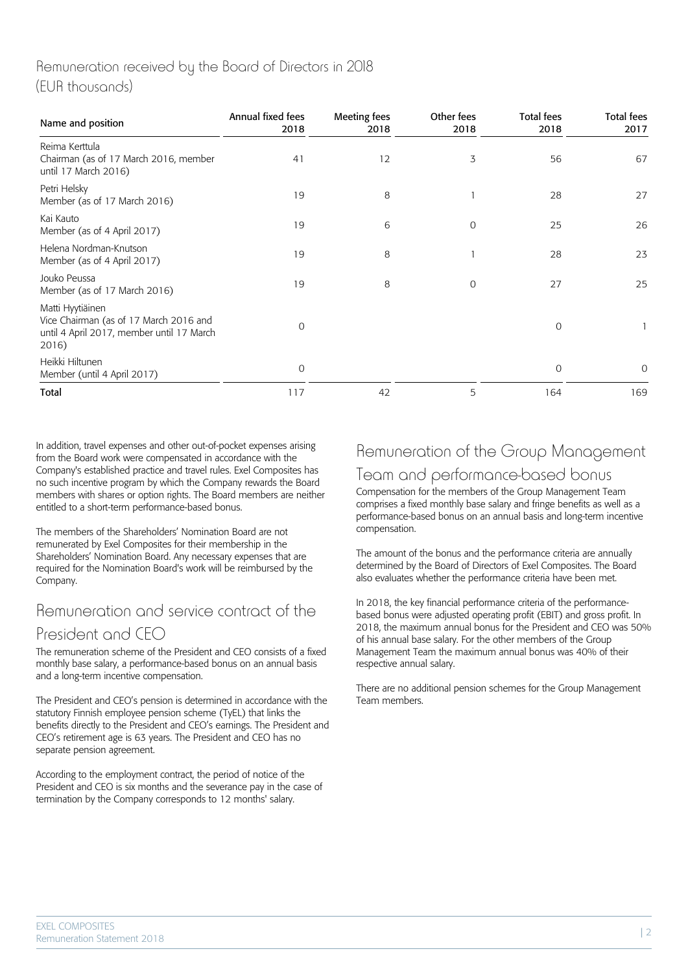### Remuneration received by the Board of Directors in 2018 (EUR thousands)

| Name and position                                                                                                | Annual fixed fees<br>2018 | Meeting fees<br>2018 | Other fees<br>2018 | <b>Total fees</b><br>2018 | <b>Total fees</b><br>2017 |
|------------------------------------------------------------------------------------------------------------------|---------------------------|----------------------|--------------------|---------------------------|---------------------------|
| Reima Kerttula<br>Chairman (as of 17 March 2016, member<br>until 17 March 2016)                                  | 41                        | 12                   | 3                  | 56                        | 67                        |
| Petri Helsky<br>Member (as of 17 March 2016)                                                                     | 19                        | 8                    |                    | 28                        | 27                        |
| Kai Kauto<br>Member (as of 4 April 2017)                                                                         | 19                        | 6                    | 0                  | 25                        | 26                        |
| Helena Nordman-Knutson<br>Member (as of 4 April 2017)                                                            | 19                        | 8                    |                    | 28                        | 23                        |
| Jouko Peussa<br>Member (as of 17 March 2016)                                                                     | 19                        | 8                    | $\mathcal{O}$      | 27                        | 25                        |
| Matti Hyytiäinen<br>Vice Chairman (as of 17 March 2016 and<br>until 4 April 2017, member until 17 March<br>2016) | 0                         |                      |                    | 0                         |                           |
| Heikki Hiltunen<br>Member (until 4 April 2017)                                                                   | 0                         |                      |                    | 0                         | 0                         |
| Total                                                                                                            | 117                       | 42                   | 5                  | 164                       | 169                       |

In addition, travel expenses and other out-of-pocket expenses arising from the Board work were compensated in accordance with the Company's established practice and travel rules. Exel Composites has no such incentive program by which the Company rewards the Board members with shares or option rights. The Board members are neither entitled to a short-term performance-based bonus.

The members of the Shareholders' Nomination Board are not remunerated by Exel Composites for their membership in the Shareholders' Nomination Board. Any necessary expenses that are required for the Nomination Board's work will be reimbursed by the Company.

## Remuneration and service contract of the President and CEO

The remuneration scheme of the President and CEO consists of a fixed monthly base salary, a performance-based bonus on an annual basis and a long-term incentive compensation.

The President and CEO's pension is determined in accordance with the statutory Finnish employee pension scheme (TyEL) that links the benefits directly to the President and CEO's earnings. The President and CEO's retirement age is 63 years. The President and CEO has no separate pension agreement.

According to the employment contract, the period of notice of the President and CEO is six months and the severance pay in the case of termination by the Company corresponds to 12 months' salary.

# Remuneration of the Group Management Team and performance-based bonus

Compensation for the members of the Group Management Team comprises a fixed monthly base salary and fringe benefits as well as a performance-based bonus on an annual basis and long-term incentive compensation.

The amount of the bonus and the performance criteria are annually determined by the Board of Directors of Exel Composites. The Board also evaluates whether the performance criteria have been met.

In 2018, the key financial performance criteria of the performancebased bonus were adjusted operating profit (EBIT) and gross profit. In 2018, the maximum annual bonus for the President and CEO was 50% of his annual base salary. For the other members of the Group Management Team the maximum annual bonus was 40% of their respective annual salary.

There are no additional pension schemes for the Group Management Team members.